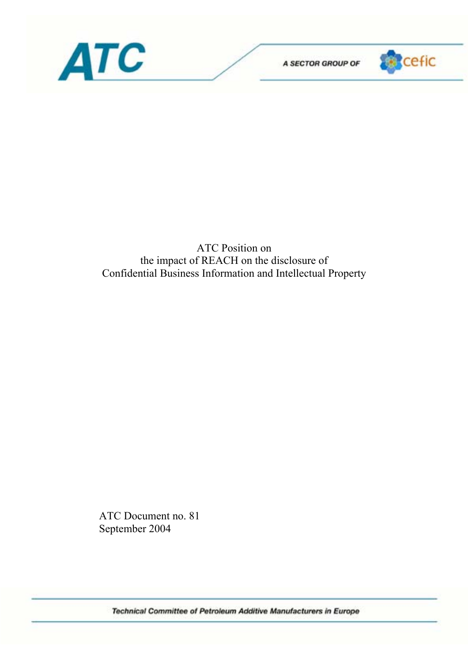



ATC Position on the impact of REACH on the disclosure of Confidential Business Information and Intellectual Property

ATC Document no. 81 September 2004

Technical Committee of Petroleum Additive Manufacturers in Europe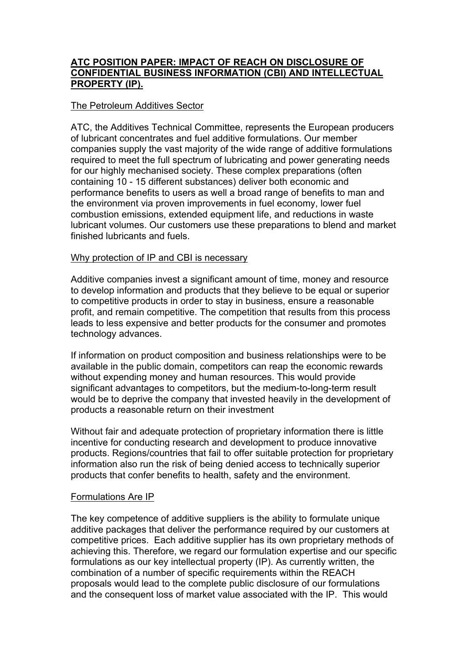# **ATC POSITION PAPER: IMPACT OF REACH ON DISCLOSURE OF CONFIDENTIAL BUSINESS INFORMATION (CBI) AND INTELLECTUAL PROPERTY (IP).**

# The Petroleum Additives Sector

ATC, the Additives Technical Committee, represents the European producers of lubricant concentrates and fuel additive formulations. Our member companies supply the vast majority of the wide range of additive formulations required to meet the full spectrum of lubricating and power generating needs for our highly mechanised society. These complex preparations (often containing 10 - 15 different substances) deliver both economic and performance benefits to users as well a broad range of benefits to man and the environment via proven improvements in fuel economy, lower fuel combustion emissions, extended equipment life, and reductions in waste lubricant volumes. Our customers use these preparations to blend and market finished lubricants and fuels.

# Why protection of IP and CBI is necessary

Additive companies invest a significant amount of time, money and resource to develop information and products that they believe to be equal or superior to competitive products in order to stay in business, ensure a reasonable profit, and remain competitive. The competition that results from this process leads to less expensive and better products for the consumer and promotes technology advances.

If information on product composition and business relationships were to be available in the public domain, competitors can reap the economic rewards without expending money and human resources. This would provide significant advantages to competitors, but the medium-to-long-term result would be to deprive the company that invested heavily in the development of products a reasonable return on their investment

Without fair and adequate protection of proprietary information there is little incentive for conducting research and development to produce innovative products. Regions/countries that fail to offer suitable protection for proprietary information also run the risk of being denied access to technically superior products that confer benefits to health, safety and the environment.

# Formulations Are IP

The key competence of additive suppliers is the ability to formulate unique additive packages that deliver the performance required by our customers at competitive prices. Each additive supplier has its own proprietary methods of achieving this. Therefore, we regard our formulation expertise and our specific formulations as our key intellectual property (IP). As currently written, the combination of a number of specific requirements within the REACH proposals would lead to the complete public disclosure of our formulations and the consequent loss of market value associated with the IP. This would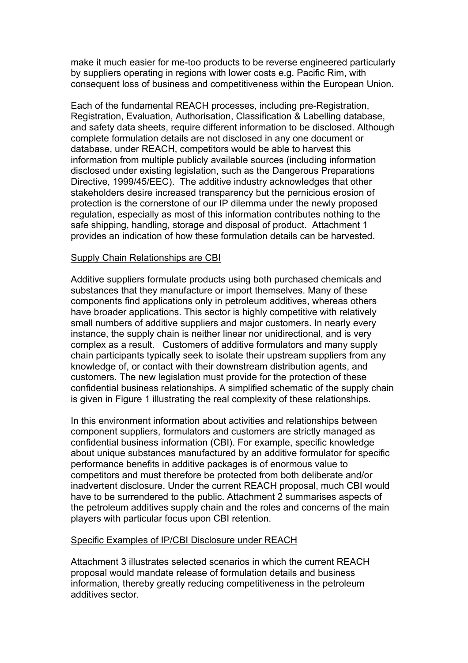make it much easier for me-too products to be reverse engineered particularly by suppliers operating in regions with lower costs e.g. Pacific Rim, with consequent loss of business and competitiveness within the European Union.

Each of the fundamental REACH processes, including pre-Registration, Registration, Evaluation, Authorisation, Classification & Labelling database, and safety data sheets, require different information to be disclosed. Although complete formulation details are not disclosed in any one document or database, under REACH, competitors would be able to harvest this information from multiple publicly available sources (including information disclosed under existing legislation, such as the Dangerous Preparations Directive, 1999/45/EEC). The additive industry acknowledges that other stakeholders desire increased transparency but the pernicious erosion of protection is the cornerstone of our IP dilemma under the newly proposed regulation, especially as most of this information contributes nothing to the safe shipping, handling, storage and disposal of product. Attachment 1 provides an indication of how these formulation details can be harvested.

#### Supply Chain Relationships are CBI

Additive suppliers formulate products using both purchased chemicals and substances that they manufacture or import themselves. Many of these components find applications only in petroleum additives, whereas others have broader applications. This sector is highly competitive with relatively small numbers of additive suppliers and major customers. In nearly every instance, the supply chain is neither linear nor unidirectional, and is very complex as a result. Customers of additive formulators and many supply chain participants typically seek to isolate their upstream suppliers from any knowledge of, or contact with their downstream distribution agents, and customers. The new legislation must provide for the protection of these confidential business relationships. A simplified schematic of the supply chain is given in Figure 1 illustrating the real complexity of these relationships.

In this environment information about activities and relationships between component suppliers, formulators and customers are strictly managed as confidential business information (CBI). For example, specific knowledge about unique substances manufactured by an additive formulator for specific performance benefits in additive packages is of enormous value to competitors and must therefore be protected from both deliberate and/or inadvertent disclosure. Under the current REACH proposal, much CBI would have to be surrendered to the public. Attachment 2 summarises aspects of the petroleum additives supply chain and the roles and concerns of the main players with particular focus upon CBI retention.

# Specific Examples of IP/CBI Disclosure under REACH

Attachment 3 illustrates selected scenarios in which the current REACH proposal would mandate release of formulation details and business information, thereby greatly reducing competitiveness in the petroleum additives sector.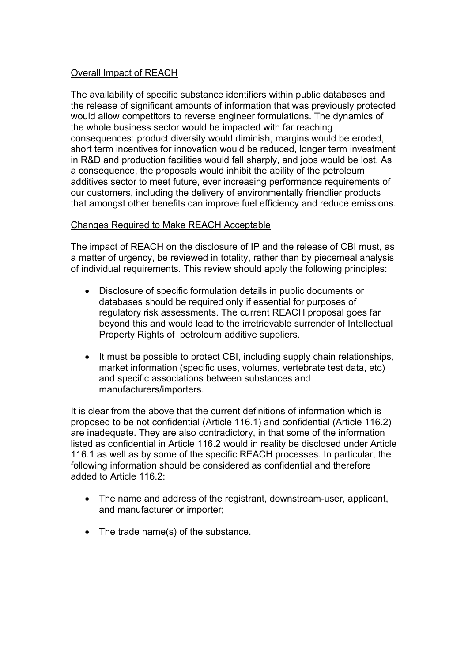# Overall Impact of REACH

The availability of specific substance identifiers within public databases and the release of significant amounts of information that was previously protected would allow competitors to reverse engineer formulations. The dynamics of the whole business sector would be impacted with far reaching consequences: product diversity would diminish, margins would be eroded, short term incentives for innovation would be reduced, longer term investment in R&D and production facilities would fall sharply, and jobs would be lost. As a consequence, the proposals would inhibit the ability of the petroleum additives sector to meet future, ever increasing performance requirements of our customers, including the delivery of environmentally friendlier products that amongst other benefits can improve fuel efficiency and reduce emissions.

# Changes Required to Make REACH Acceptable

The impact of REACH on the disclosure of IP and the release of CBI must, as a matter of urgency, be reviewed in totality, rather than by piecemeal analysis of individual requirements. This review should apply the following principles:

- Disclosure of specific formulation details in public documents or databases should be required only if essential for purposes of regulatory risk assessments. The current REACH proposal goes far beyond this and would lead to the irretrievable surrender of Intellectual Property Rights of petroleum additive suppliers.
- It must be possible to protect CBI, including supply chain relationships, market information (specific uses, volumes, vertebrate test data, etc) and specific associations between substances and manufacturers/importers.

It is clear from the above that the current definitions of information which is proposed to be not confidential (Article 116.1) and confidential (Article 116.2) are inadequate. They are also contradictory, in that some of the information listed as confidential in Article 116.2 would in reality be disclosed under Article 116.1 as well as by some of the specific REACH processes. In particular, the following information should be considered as confidential and therefore added to Article 116.2:

- The name and address of the registrant, downstream-user, applicant, and manufacturer or importer;
- The trade name(s) of the substance.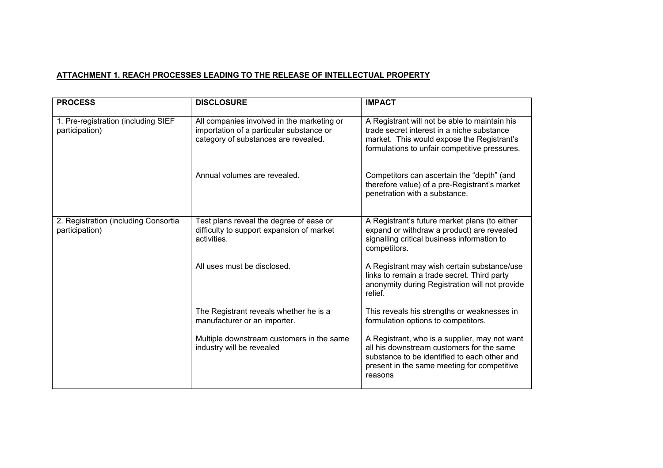#### **ATTACHMENT 1. REACH PROCESSES LEADING TO THE RELEASE OF INTELLECTUAL PROPERTY**

| <b>PROCESS</b>                                         | <b>DISCLOSURE</b>                                                                                                              | <b>IMPACT</b>                                                                                                                                                                                        |
|--------------------------------------------------------|--------------------------------------------------------------------------------------------------------------------------------|------------------------------------------------------------------------------------------------------------------------------------------------------------------------------------------------------|
| 1. Pre-registration (including SIEF<br>participation)  | All companies involved in the marketing or<br>importation of a particular substance or<br>category of substances are revealed. | A Registrant will not be able to maintain his<br>trade secret interest in a niche substance<br>market. This would expose the Registrant's<br>formulations to unfair competitive pressures.           |
|                                                        | Annual volumes are revealed.                                                                                                   | Competitors can ascertain the "depth" (and<br>therefore value) of a pre-Registrant's market<br>penetration with a substance.                                                                         |
| 2. Registration (including Consortia<br>participation) | Test plans reveal the degree of ease or<br>difficulty to support expansion of market<br>activities.                            | A Registrant's future market plans (to either<br>expand or withdraw a product) are revealed<br>signalling critical business information to<br>competitors.                                           |
|                                                        | All uses must be disclosed.                                                                                                    | A Registrant may wish certain substance/use<br>links to remain a trade secret. Third party<br>anonymity during Registration will not provide<br>relief.                                              |
|                                                        | The Registrant reveals whether he is a<br>manufacturer or an importer.                                                         | This reveals his strengths or weaknesses in<br>formulation options to competitors.                                                                                                                   |
|                                                        | Multiple downstream customers in the same<br>industry will be revealed                                                         | A Registrant, who is a supplier, may not want<br>all his downstream customers for the same<br>substance to be identified to each other and<br>present in the same meeting for competitive<br>reasons |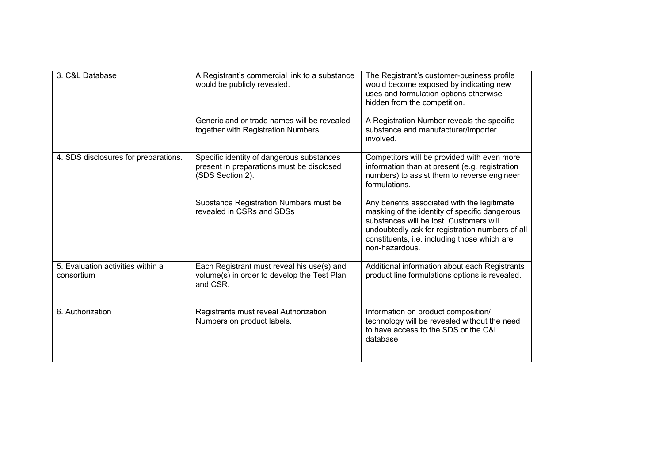| 3. C&L Database                                 | A Registrant's commercial link to a substance<br>would be publicly revealed.                               | The Registrant's customer-business profile<br>would become exposed by indicating new<br>uses and formulation options otherwise<br>hidden from the competition.                                                                                               |
|-------------------------------------------------|------------------------------------------------------------------------------------------------------------|--------------------------------------------------------------------------------------------------------------------------------------------------------------------------------------------------------------------------------------------------------------|
|                                                 | Generic and or trade names will be revealed<br>together with Registration Numbers.                         | A Registration Number reveals the specific<br>substance and manufacturer/importer<br>involved.                                                                                                                                                               |
| 4. SDS disclosures for preparations.            | Specific identity of dangerous substances<br>present in preparations must be disclosed<br>(SDS Section 2). | Competitors will be provided with even more<br>information than at present (e.g. registration<br>numbers) to assist them to reverse engineer<br>formulations.                                                                                                |
|                                                 | Substance Registration Numbers must be<br>revealed in CSRs and SDSs                                        | Any benefits associated with the legitimate<br>masking of the identity of specific dangerous<br>substances will be lost. Customers will<br>undoubtedly ask for registration numbers of all<br>constituents, i.e. including those which are<br>non-hazardous. |
| 5. Evaluation activities within a<br>consortium | Each Registrant must reveal his use(s) and<br>volume(s) in order to develop the Test Plan<br>and CSR.      | Additional information about each Registrants<br>product line formulations options is revealed.                                                                                                                                                              |
| 6. Authorization                                | Registrants must reveal Authorization<br>Numbers on product labels.                                        | Information on product composition/<br>technology will be revealed without the need<br>to have access to the SDS or the C&L<br>database                                                                                                                      |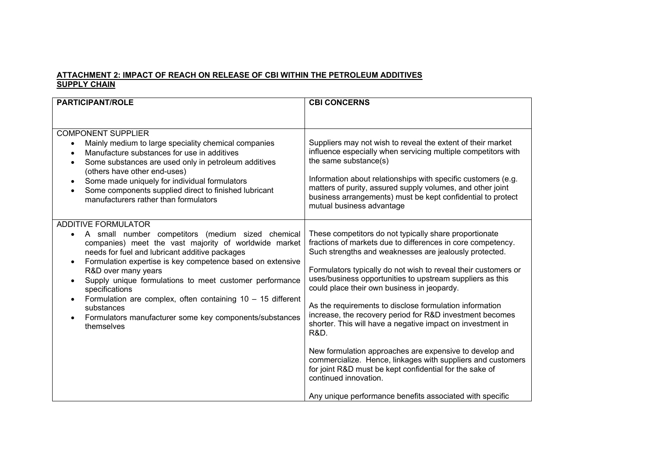# **ATTACHMENT 2: IMPACT OF REACH ON RELEASE OF CBI WITHIN THE PETROLEUM ADDITIVES SUPPLY CHAIN**

| <b>PARTICIPANT/ROLE</b>                                                                                                                                                                                                                              | <b>CBI CONCERNS</b>                                                                                                                                                                                                     |  |
|------------------------------------------------------------------------------------------------------------------------------------------------------------------------------------------------------------------------------------------------------|-------------------------------------------------------------------------------------------------------------------------------------------------------------------------------------------------------------------------|--|
|                                                                                                                                                                                                                                                      |                                                                                                                                                                                                                         |  |
| <b>COMPONENT SUPPLIER</b><br>Mainly medium to large speciality chemical companies<br>Manufacture substances for use in additives                                                                                                                     | Suppliers may not wish to reveal the extent of their market<br>influence especially when servicing multiple competitors with                                                                                            |  |
| Some substances are used only in petroleum additives<br>(others have other end-uses)                                                                                                                                                                 | the same substance(s)                                                                                                                                                                                                   |  |
| Some made uniquely for individual formulators<br>Some components supplied direct to finished lubricant<br>$\bullet$<br>manufacturers rather than formulators                                                                                         | Information about relationships with specific customers (e.g.<br>matters of purity, assured supply volumes, and other joint<br>business arrangements) must be kept confidential to protect<br>mutual business advantage |  |
| <b>ADDITIVE FORMULATOR</b>                                                                                                                                                                                                                           |                                                                                                                                                                                                                         |  |
| A small number competitors (medium sized chemical<br>$\bullet$<br>companies) meet the vast majority of worldwide market<br>needs for fuel and lubricant additive packages<br>Formulation expertise is key competence based on extensive<br>$\bullet$ | These competitors do not typically share proportionate<br>fractions of markets due to differences in core competency.<br>Such strengths and weaknesses are jealously protected.                                         |  |
| R&D over many years<br>Supply unique formulations to meet customer performance<br>specifications                                                                                                                                                     | Formulators typically do not wish to reveal their customers or<br>uses/business opportunities to upstream suppliers as this<br>could place their own business in jeopardy.                                              |  |
| Formulation are complex, often containing $10 - 15$ different<br>substances<br>Formulators manufacturer some key components/substances<br>themselves                                                                                                 | As the requirements to disclose formulation information<br>increase, the recovery period for R&D investment becomes<br>shorter. This will have a negative impact on investment in<br><b>R&amp;D.</b>                    |  |
|                                                                                                                                                                                                                                                      | New formulation approaches are expensive to develop and<br>commercialize. Hence, linkages with suppliers and customers<br>for joint R&D must be kept confidential for the sake of<br>continued innovation.              |  |
|                                                                                                                                                                                                                                                      | Any unique performance benefits associated with specific                                                                                                                                                                |  |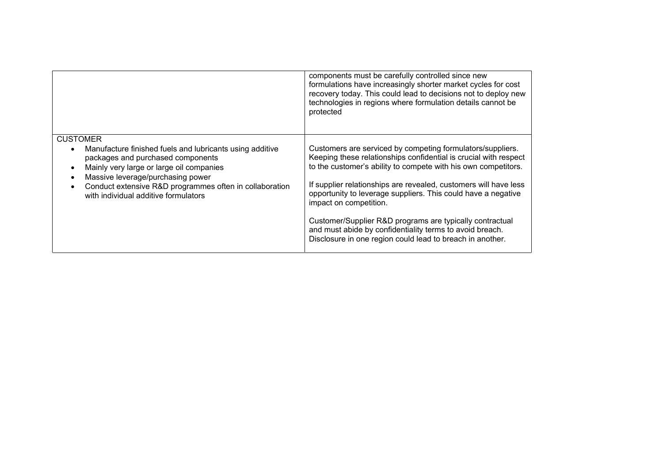|                                                                                                 | components must be carefully controlled since new<br>formulations have increasingly shorter market cycles for cost<br>recovery today. This could lead to decisions not to deploy new<br>technologies in regions where formulation details cannot be<br>protected |
|-------------------------------------------------------------------------------------------------|------------------------------------------------------------------------------------------------------------------------------------------------------------------------------------------------------------------------------------------------------------------|
| <b>CUSTOMER</b>                                                                                 |                                                                                                                                                                                                                                                                  |
| Manufacture finished fuels and lubricants using additive<br>packages and purchased components   | Customers are serviced by competing formulators/suppliers.<br>Keeping these relationships confidential is crucial with respect                                                                                                                                   |
| Mainly very large or large oil companies                                                        | to the customer's ability to compete with his own competitors.                                                                                                                                                                                                   |
| Massive leverage/purchasing power                                                               |                                                                                                                                                                                                                                                                  |
| Conduct extensive R&D programmes often in collaboration<br>with individual additive formulators | If supplier relationships are revealed, customers will have less<br>opportunity to leverage suppliers. This could have a negative<br>impact on competition.                                                                                                      |
|                                                                                                 | Customer/Supplier R&D programs are typically contractual<br>and must abide by confidentiality terms to avoid breach.<br>Disclosure in one region could lead to breach in another.                                                                                |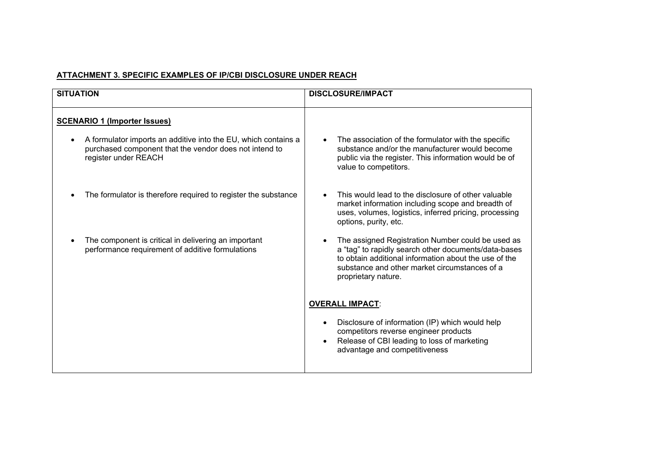#### **ATTACHMENT 3. SPECIFIC EXAMPLES OF IP/CBI DISCLOSURE UNDER REACH**

| <b>SITUATION</b>                                                                                                                                                                        | <b>DISCLOSURE/IMPACT</b>                                                                                                                                                                                                                   |
|-----------------------------------------------------------------------------------------------------------------------------------------------------------------------------------------|--------------------------------------------------------------------------------------------------------------------------------------------------------------------------------------------------------------------------------------------|
| <b>SCENARIO 1 (Importer Issues)</b><br>A formulator imports an additive into the EU, which contains a<br>purchased component that the vendor does not intend to<br>register under REACH | The association of the formulator with the specific<br>substance and/or the manufacturer would become<br>public via the register. This information would be of<br>value to competitors.                                                    |
| The formulator is therefore required to register the substance                                                                                                                          | This would lead to the disclosure of other valuable<br>market information including scope and breadth of<br>uses, volumes, logistics, inferred pricing, processing<br>options, purity, etc.                                                |
| The component is critical in delivering an important<br>performance requirement of additive formulations                                                                                | The assigned Registration Number could be used as<br>a "tag" to rapidly search other documents/data-bases<br>to obtain additional information about the use of the<br>substance and other market circumstances of a<br>proprietary nature. |
|                                                                                                                                                                                         | <b>OVERALL IMPACT:</b>                                                                                                                                                                                                                     |
|                                                                                                                                                                                         | Disclosure of information (IP) which would help<br>competitors reverse engineer products<br>Release of CBI leading to loss of marketing<br>advantage and competitiveness                                                                   |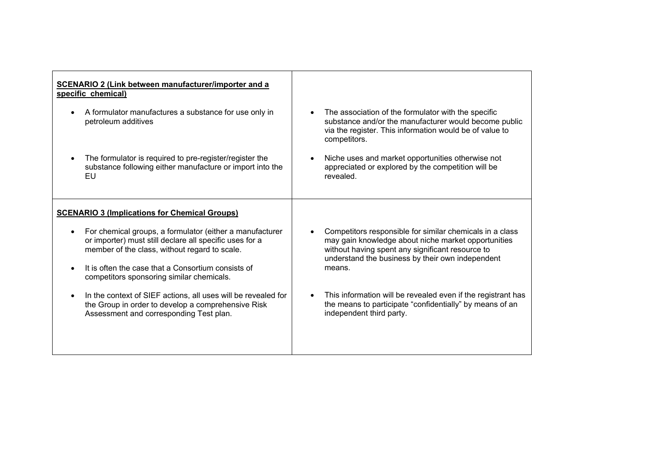| <b>SCENARIO 2 (Link between manufacturer/importer and a</b><br>specific chemical)<br>A formulator manufactures a substance for use only in<br>petroleum additives<br>The formulator is required to pre-register/register the<br>substance following either manufacture or import into the<br>EU                                                                                                                                                                                                   | The association of the formulator with the specific<br>substance and/or the manufacturer would become public<br>via the register. This information would be of value to<br>competitors.<br>Niche uses and market opportunities otherwise not<br>appreciated or explored by the competition will be<br>revealed.                                                                           |
|---------------------------------------------------------------------------------------------------------------------------------------------------------------------------------------------------------------------------------------------------------------------------------------------------------------------------------------------------------------------------------------------------------------------------------------------------------------------------------------------------|-------------------------------------------------------------------------------------------------------------------------------------------------------------------------------------------------------------------------------------------------------------------------------------------------------------------------------------------------------------------------------------------|
|                                                                                                                                                                                                                                                                                                                                                                                                                                                                                                   |                                                                                                                                                                                                                                                                                                                                                                                           |
| <b>SCENARIO 3 (Implications for Chemical Groups)</b><br>For chemical groups, a formulator (either a manufacturer<br>or importer) must still declare all specific uses for a<br>member of the class, without regard to scale.<br>It is often the case that a Consortium consists of<br>competitors sponsoring similar chemicals.<br>In the context of SIEF actions, all uses will be revealed for<br>the Group in order to develop a comprehensive Risk<br>Assessment and corresponding Test plan. | Competitors responsible for similar chemicals in a class<br>may gain knowledge about niche market opportunities<br>without having spent any significant resource to<br>understand the business by their own independent<br>means.<br>This information will be revealed even if the registrant has<br>the means to participate "confidentially" by means of an<br>independent third party. |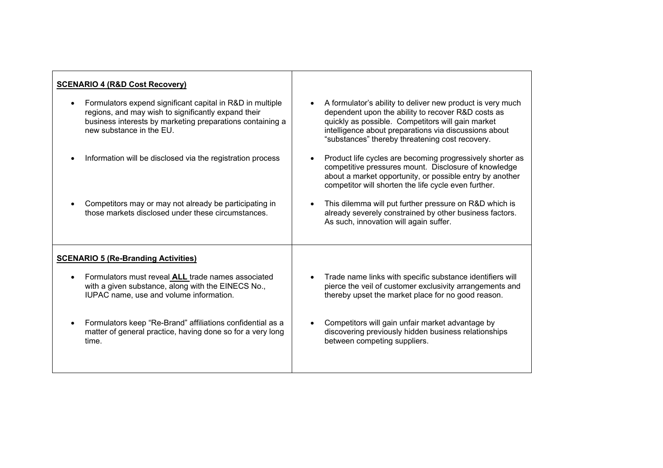| <b>SCENARIO 4 (R&amp;D Cost Recovery)</b>                                                                                                                                                                 |                                                                                                                                                                                                                                                                                   |
|-----------------------------------------------------------------------------------------------------------------------------------------------------------------------------------------------------------|-----------------------------------------------------------------------------------------------------------------------------------------------------------------------------------------------------------------------------------------------------------------------------------|
| Formulators expend significant capital in R&D in multiple<br>regions, and may wish to significantly expand their<br>business interests by marketing preparations containing a<br>new substance in the EU. | A formulator's ability to deliver new product is very much<br>dependent upon the ability to recover R&D costs as<br>quickly as possible. Competitors will gain market<br>intelligence about preparations via discussions about<br>"substances" thereby threatening cost recovery. |
| Information will be disclosed via the registration process                                                                                                                                                | Product life cycles are becoming progressively shorter as<br>competitive pressures mount. Disclosure of knowledge<br>about a market opportunity, or possible entry by another<br>competitor will shorten the life cycle even further.                                             |
| Competitors may or may not already be participating in<br>those markets disclosed under these circumstances.                                                                                              | This dilemma will put further pressure on R&D which is<br>already severely constrained by other business factors.<br>As such, innovation will again suffer.                                                                                                                       |
| <b>SCENARIO 5 (Re-Branding Activities)</b>                                                                                                                                                                |                                                                                                                                                                                                                                                                                   |
| Formulators must reveal ALL trade names associated<br>with a given substance, along with the EINECS No.,<br>IUPAC name, use and volume information.                                                       | Trade name links with specific substance identifiers will<br>pierce the veil of customer exclusivity arrangements and<br>thereby upset the market place for no good reason.                                                                                                       |
| Formulators keep "Re-Brand" affiliations confidential as a<br>matter of general practice, having done so for a very long<br>time.                                                                         | Competitors will gain unfair market advantage by<br>discovering previously hidden business relationships<br>between competing suppliers.                                                                                                                                          |
|                                                                                                                                                                                                           |                                                                                                                                                                                                                                                                                   |